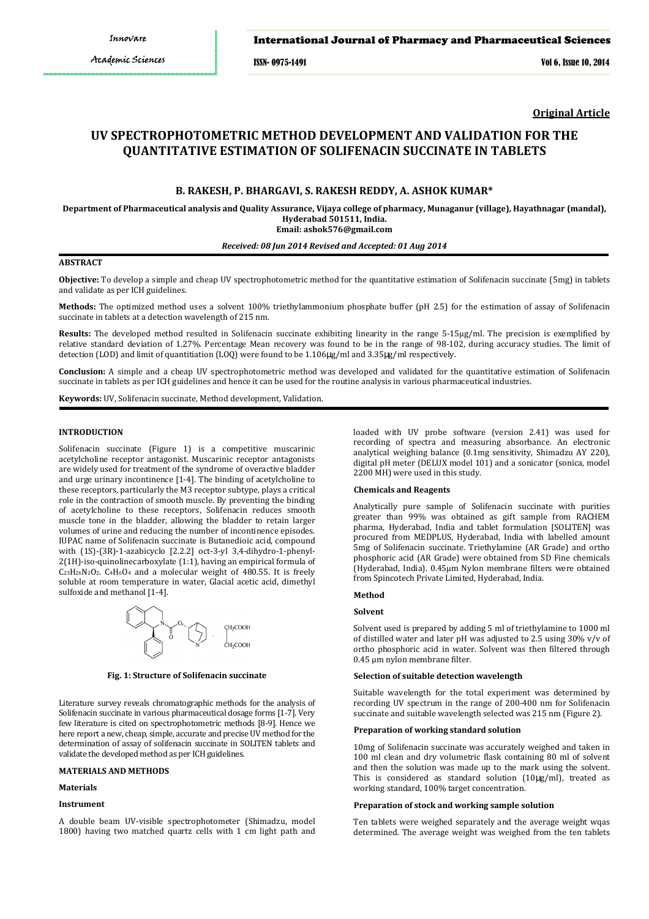## International Journal of Pharmacy and Pharmaceutical Sciences

ISSN- 0975-1491 Vol 6, Issue 10, 2014

**Original Article**

# **UV SPECTROPHOTOMETRIC METHOD DEVELOPMENT AND VALIDATION FOR THE QUANTITATIVE ESTIMATION OF SOLIFENACIN SUCCINATE IN TABLETS**

## **B. RAKESH, P. BHARGAVI, S. RAKESH REDDY, A. ASHOK KUMAR\***

**Department of Pharmaceutical analysis and Quality Assurance, Vijaya college of pharmacy, Munaganur (village), Hayathnagar (mandal), Hyderabad 501511, India.** 

**Email: ashok576@gmail.com**

## *Received: 08 Jun 2014 Revised and Accepted: 01 Aug 2014*

## **ABSTRACT**

**Objective:** To develop a simple and cheap UV spectrophotometric method for the quantitative estimation of Solifenacin succinate (5mg) in tablets and validate as per ICH guidelines.

**Methods:** The optimized method uses a solvent 100% triethylammonium phosphate buffer (pH 2.5) for the estimation of assay of Solifenacin succinate in tablets at a detection wavelength of 215 nm.

**Results:** The developed method resulted in Solifenacin succinate exhibiting linearity in the range 5-15μg/ml. The precision is exemplified by relative standard deviation of 1.27%. Percentage Mean recovery was found to be in the range of 98-102, during accuracy studies. The limit of detection (LOD) and limit of quantitiation (LOQ) were found to be 1.106µg/ml and 3.35µg/ml respectively.

**Conclusion:** A simple and a cheap UV spectrophotometric method was developed and validated for the quantitative estimation of Solifenacin succinate in tablets as per ICH guidelines and hence it can be used for the routine analysis in various pharmaceutical industries.

**Keywords:** UV, Solifenacin succinate, Method development, Validation.

## **INTRODUCTION**

Solifenacin succinate (Figure 1) is a competitive muscarinic acetylcholine receptor antagonist. Muscarinic receptor antagonists are widely used for treatment of the syndrome of overactive bladder and urge urinary incontinence [1-4]. The binding of acetylcholine to these receptors, particularly the M3 receptor subtype, plays a critical role in the contraction of smooth muscle. By preventing the binding of acetylcholine to these receptors, Solifenacin reduces smooth muscle tone in the bladder, allowing the bladder to retain larger volumes of urine and reducing the number of incontinence episodes. IUPAC name of Solifenacin succinate is Butanedioic acid, compound with (1S)-(3R)-1-azabicyclo [2.2.2] oct-3-yl 3,4-dihydro-1-phenyl-2(1H)-iso-quinolinecarboxylate (1:1), having an empirical formula of  $C_{23}H_{26}N_2O_2$ .  $C_4H_6O_4$  and a molecular weight of 480.55. It is freely soluble at room temperature in water, Glacial acetic acid, dimethyl sulfoxide and methanol [1-4].



**Fig. 1: Structure of Solifenacin succinate** 

Literature survey reveals chromatographic methods for the analysis of Solifenacin succinate in various pharmaceutical dosage forms [1-7]. Very few literature is cited on spectrophotometric methods [8-9]. Hence we here report a new, cheap, simple, accurate and precise UV method for the determination of assay of solifenacin succinate in SOLITEN tablets and validate the developed method as per ICH guidelines.

#### **MATERIALS AND METHODS**

## **Materials**

## **Instrument**

A double beam UV-visible spectrophotometer (Shimadzu, model 1800) having two matched quartz cells with 1 cm light path and loaded with UV probe software (version 2.41) was used for recording of spectra and measuring absorbance. An electronic analytical weighing balance (0.1mg sensitivity, Shimadzu AY 220), digital pH meter (DELUX model 101) and a sonicator (sonica, model 2200 MH) were used in this study.

#### **Chemicals and Reagents**

Analytically pure sample of Solifenacin succinate with purities greater than 99% was obtained as gift sample from RACHEM pharma, Hyderabad, India and tablet formulation [SOLITEN] was procured from MEDPLUS, Hyderabad, India with labelled amount 5mg of Solifenacin succinate. Triethylamine (AR Grade) and ortho phosphoric acid (AR Grade) were obtained from SD Fine chemicals (Hyderabad, India). 0.45μm Nylon membrane filters were obtained from Spincotech Private Limited, Hyderabad, India.

## **Method**

#### **Solvent**

Solvent used is prepared by adding 5 ml of triethylamine to 1000 ml of distilled water and later pH was adjusted to 2.5 using 30% v/v of ortho phosphoric acid in water. Solvent was then filtered through 0.45 μm nylon membrane filter.

#### **Selection of suitable detection wavelength**

Suitable wavelength for the total experiment was determined by recording UV spectrum in the range of 200-400 nm for Solifenacin succinate and suitable wavelength selected was 215 nm (Figure 2).

#### **Preparation of working standard solution**

10mg of Solifenacin succinate was accurately weighed and taken in 100 ml clean and dry volumetric flask containing 80 ml of solvent and then the solution was made up to the mark using the solvent. This is considered as standard solution (10µg/ml), treated as working standard, 100% target concentration.

#### **Preparation of stock and working sample solution**

Ten tablets were weighed separately and the average weight wqas determined. The average weight was weighed from the ten tablets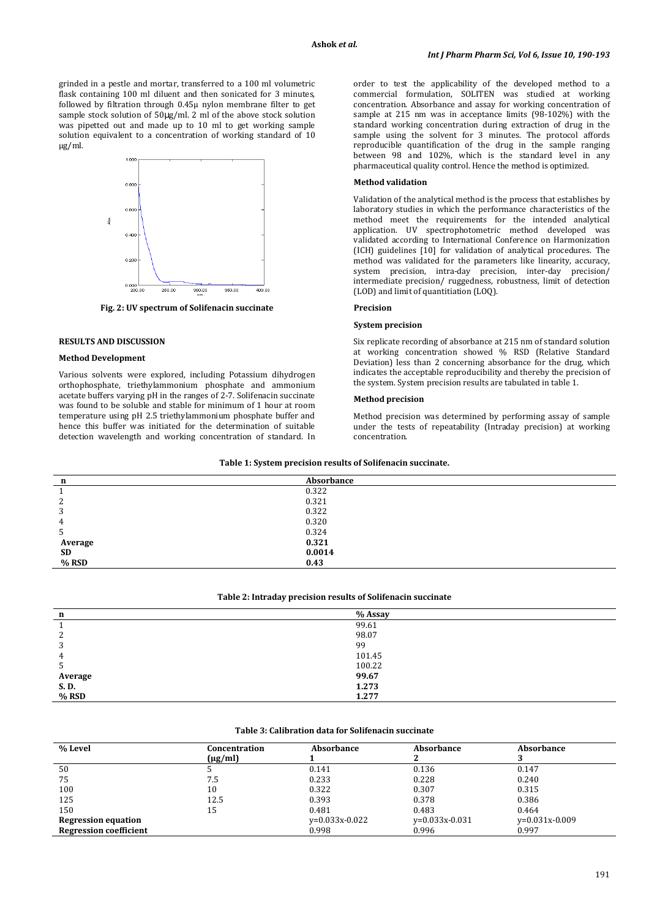grinded in a pestle and mortar, transferred to a 100 ml volumetric flask containing 100 ml diluent and then sonicated for 3 minutes, followed by filtration through 0.45µ nylon membrane filter to get sample stock solution of 50µg/ml. 2 ml of the above stock solution was pipetted out and made up to 10 ml to get working sample solution equivalent to a concentration of working standard of 10 µg/ml.



**Fig. 2: UV spectrum of Solifenacin succinate** 

## **RESULTS AND DISCUSSION**

## **Method Development**

Various solvents were explored, including Potassium dihydrogen orthophosphate, triethylammonium phosphate and ammonium acetate buffers varying pH in the ranges of 2-7. Solifenacin succinate was found to be soluble and stable for minimum of 1 hour at room temperature using pH 2.5 triethylammonium phosphate buffer and hence this buffer was initiated for the determination of suitable detection wavelength and working concentration of standard. In order to test the applicability of the developed method to a commercial formulation, SOLITEN was studied at working concentration. Absorbance and assay for working concentration of sample at 215 nm was in acceptance limits (98-102%) with the standard working concentration during extraction of drug in the sample using the solvent for 3 minutes. The protocol affords reproducible quantification of the drug in the sample ranging between 98 and 102%, which is the standard level in any pharmaceutical quality control. Hence the method is optimized.

#### **Method validation**

Validation of the analytical method is the process that establishes by laboratory studies in which the performance characteristics of the method meet the requirements for the intended analytical application. UV spectrophotometric method developed was validated according to International Conference on Harmonization (ICH) guidelines [10] for validation of analytical procedures. The method was validated for the parameters like linearity, accuracy, system precision, intra-day precision, inter-day precision/ intermediate precision/ ruggedness, robustness, limit of detection (LOD) and limit of quantitiation (LOQ).

#### **Precision**

#### **System precision**

Six replicate recording of absorbance at 215 nm of standard solution at working concentration showed % RSD (Relative Standard Deviation) less than 2 concerning absorbance for the drug, which indicates the acceptable reproducibility and thereby the precision of the system. System precision results are tabulated in table 1.

#### **Method precision**

Method precision was determined by performing assay of sample under the tests of repeatability (Intraday precision) at working concentration.

| n         | Absorbance |  |
|-----------|------------|--|
|           | 0.322      |  |
|           | 0.321      |  |
|           | 0.322      |  |
|           | 0.320      |  |
| ر         | 0.324      |  |
| Average   | 0.321      |  |
| <b>SD</b> | 0.0014     |  |
| % RSD     | 0.43       |  |

**Table 1: System precision results of Solifenacin succinate.** 

#### **Table 2: Intraday precision results of Solifenacin succinate**

| n               | % Assay |
|-----------------|---------|
|                 | 99.61   |
| ∼               | 98.07   |
| C               | 99      |
| 4               | 101.45  |
| $\mathcal{D}$   | 100.22  |
|                 | 99.67   |
| Average<br>S.D. | 1.273   |
| % RSD           | 1.277   |
|                 |         |

#### **Table 3: Calibration data for Solifenacin succinate**

| % Level                       | Concentration<br>$(\mu g/ml)$ | Absorbance       | Absorbance           | Absorbance       |
|-------------------------------|-------------------------------|------------------|----------------------|------------------|
| 50                            |                               | 0.141            | 0.136                | 0.147            |
| 75                            | 7.5                           | 0.233            | 0.228                | 0.240            |
| 100                           | 10                            | 0.322            | 0.307                | 0.315            |
| 125                           | 12.5                          | 0.393            | 0.378                | 0.386            |
| 150                           | 15                            | 0.481            | 0.483                | 0.464            |
| <b>Regression equation</b>    |                               | $v=0.033x-0.022$ | $v = 0.033x - 0.031$ | $v=0.031x-0.009$ |
| <b>Regression coefficient</b> |                               | 0.998            | 0.996                | 0.997            |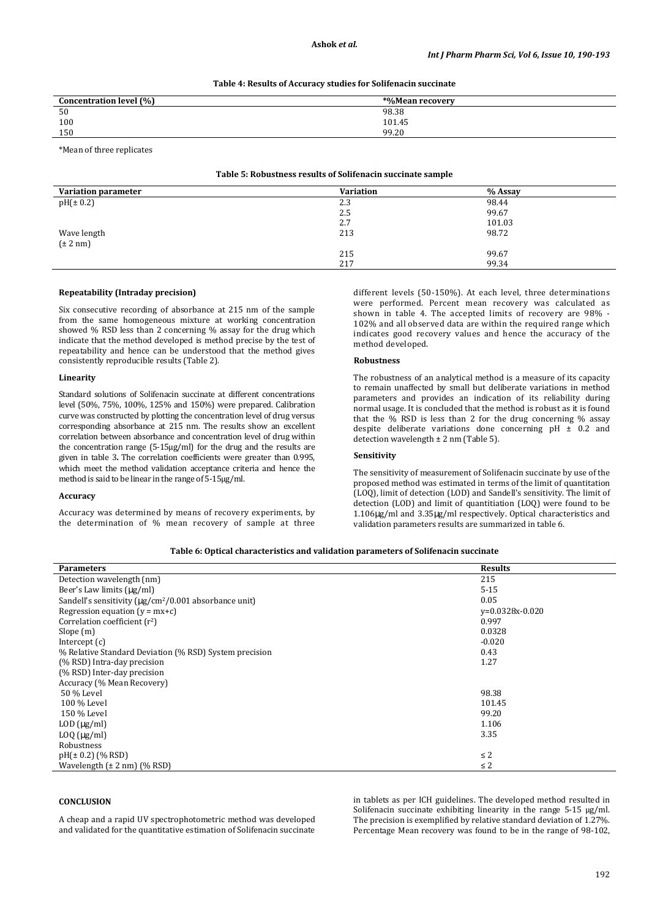#### **Table 4: Results of Accuracy studies for Solifenacin succinate**

| Concentration level (%) | *%Mean recovery |  |
|-------------------------|-----------------|--|
| 50                      | 98.38           |  |
| 100                     | 101.45          |  |
| 150                     | 99.20           |  |
|                         |                 |  |

\*Mean of three replicates

## **Table 5: Robustness results of Solifenacin succinate sample**

| <b>Variation parameter</b>       | <b>Variation</b> | % Assay |
|----------------------------------|------------------|---------|
| pH(±0.2)                         | 2.3              | 98.44   |
|                                  | 2.5              | 99.67   |
|                                  | 2.7              | 101.03  |
|                                  | 213              | 98.72   |
| Wave length $(\pm 2 \text{ nm})$ |                  |         |
|                                  | 215              | 99.67   |
|                                  | 217              | 99.34   |

## **Repeatability (Intraday precision)**

Six consecutive recording of absorbance at 215 nm of the sample from the same homogeneous mixture at working concentration showed % RSD less than 2 concerning % assay for the drug which indicate that the method developed is method precise by the test of repeatability and hence can be understood that the method gives consistently reproducible results (Table 2).

#### **Linearity**

Standard solutions of Solifenacin succinate at different concentrations level (50%, 75%, 100%, 125% and 150%) were prepared. Calibration curve was constructed by plotting the concentration level of drug versus corresponding absorbance at 215 nm. The results show an excellent correlation between absorbance and concentration level of drug within the concentration range (5-15µg/ml) for the drug and the results are given in table 3**.** The correlation coefficients were greater than 0.995, which meet the method validation acceptance criteria and hence the method is said to be linear in the range of 5-15µg/ml.

## **Accuracy**

Accuracy was determined by means of recovery experiments, by the determination of % mean recovery of sample at three different levels (50-150%). At each level, three determinations were performed. Percent mean recovery was calculated as shown in table 4. The accepted limits of recovery are 98% - 102% and all observed data are within the required range which indicates good recovery values and hence the accuracy of the method developed.

#### **Robustness**

The robustness of an analytical method is a measure of its capacity to remain unaffected by small but deliberate variations in method parameters and provides an indication of its reliability during normal usage. It is concluded that the method is robust as it is found that the % RSD is less than 2 for the drug concerning % assay despite deliberate variations done concerning  $pH \pm 0.2$  and detection wavelength  $\pm$  2 nm (Table 5).

#### **Sensitivity**

The sensitivity of measurement of Solifenacin succinate by use of the proposed method was estimated in terms of the limit of quantitation (LOQ), limit of detection (LOD) and Sandell's sensitivity. The limit of detection (LOD) and limit of quantitiation (LOQ) were found to be 1.106µg/ml and 3.35µg/ml respectively. Optical characteristics and validation parameters results are summarized in table 6.

| Table 6: Optical characteristics and validation parameters of Solifenacin succinate |  |
|-------------------------------------------------------------------------------------|--|
|-------------------------------------------------------------------------------------|--|

| <b>Parameters</b>                                                       | <b>Results</b>    |
|-------------------------------------------------------------------------|-------------------|
| Detection wavelength (nm)                                               | 215               |
| Beer's Law limits (µg/ml)                                               | $5 - 15$          |
| Sandell's sensitivity ( $\mu$ g/cm <sup>2</sup> /0.001 absorbance unit) | 0.05              |
| Regression equation $(y = mx+c)$                                        | $v=0.0328x-0.020$ |
| Correlation coefficient $(r^2)$                                         | 0.997             |
| Slope(m)                                                                | 0.0328            |
| Intercept $(c)$                                                         | $-0.020$          |
| % Relative Standard Deviation (% RSD) System precision                  | 0.43              |
| (% RSD) Intra-day precision                                             | 1.27              |
| (% RSD) Inter-day precision                                             |                   |
| Accuracy (% Mean Recovery)                                              |                   |
| 50 % Level                                                              | 98.38             |
| 100 % Level                                                             | 101.45            |
| 150 % Level                                                             | 99.20             |
| $LOD$ ( $\mu$ g/ml)                                                     | 1.106             |
| $L OQ$ ( $\mu$ g/ml)                                                    | 3.35              |
| Robustness                                                              |                   |
| $pH(\pm 0.2)$ (% RSD)                                                   | $\leq$ 2          |
| Wavelength $(\pm 2 \text{ nm})$ (% RSD)                                 | $\leq$ 2          |

#### **CONCLUSION**

A cheap and a rapid UV spectrophotometric method was developed and validated for the quantitative estimation of Solifenacin succinate in tablets as per ICH guidelines. The developed method resulted in Solifenacin succinate exhibiting linearity in the range 5-15 μg/ml. The precision is exemplified by relative standard deviation of 1.27%. Percentage Mean recovery was found to be in the range of 98-102,